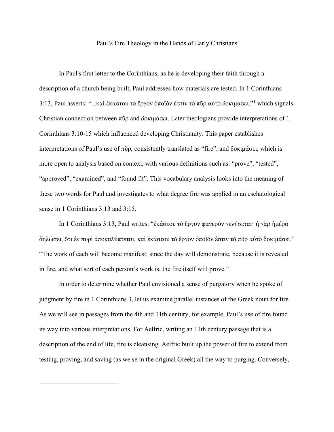## Paul's Fire Theology in the Hands of Early Christians

In Paul's first letter to the Corinthians, as he is developing their faith through a description of a church being built, Paul addresses how materials are tested. In 1 Corinthians 3:13, Paul asserts: "...καὶ ἑκάστου τὸ ἔργον ὁποῖόν ἐστιν τὸ πῦρ αὐτὸ δοκιμάσει,"[1](#page-0-0) which signals Christian connection between πῦρ and δοκιμάσει. Later theologians provide interpretations of 1 Corinthians 3:10-15 which influenced developing Christianity. This paper establishes interpretations of Paul's use of πῦρ, consistently translated as "fire", and δοκιμάσει, which is more open to analysis based on context, with various definitions such as: "prove", "tested", "approved", "examined", and "found fit". This vocabulary analysis looks into the meaning of these two words for Paul and investigates to what degree fire was applied in an eschatological sense in 1 Corinthians 3:13 and 3:15.

In 1 Corinthians 3:13, Paul writes: "ἑκάστου τὸ ἔργον φανερὸν γενήσεται· ἡ γὰρ ἡμέρα δηλώσει, ὅτι ἐν πυρὶ ἀποκαλύπτεται, καὶ ἑκάστου τὸ ἔργον ὁποῖόν ἐστιν τὸ πῦρ αὐτὸ δοκιμάσει." "The work of each will become manifest; since the day will demonstrate, because it is revealed in fire, and what sort of each person's work is, the fire itself will prove."

<span id="page-0-0"></span>In order to determine whether Paul envisioned a sense of purgatory when he spoke of judgment by fire in 1 Corinthians 3, let us examine parallel instances of the Greek noun for fire. As we will see in passages from the 4th and 11th century, for example, Paul's use of fire found its way into various interpretations. For Aelfric, writing an 11th century passage that is a description of the end of life, fire is cleansing. Aelfric built up the power of fire to extend from testing, proving, and saving (as we se in the original Greek) all the way to purging. Conversely,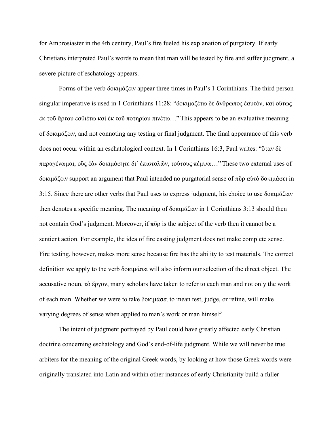for Ambrosiaster in the 4th century, Paul's fire fueled his explanation of purgatory. If early Christians interpreted Paul's words to mean that man will be tested by fire and suffer judgment, a severe picture of eschatology appears.

Forms of the verb δοκιμάζειν appear three times in Paul's 1 Corinthians. The third person singular imperative is used in 1 Corinthians 11:28: "δοκιμαζέτω δὲ ἄνθρωπος ἑαυτόν, καὶ οὕτως ἐκ τοῦ ἄρτου ἐσθιέτω καὶ ἐκ τοῦ ποτηρίου πινέτω…" This appears to be an evaluative meaning of δοκιμάζειν, and not connoting any testing or final judgment. The final appearance of this verb does not occur within an eschatological context. In 1 Corinthians 16:3, Paul writes: "ὅταν δὲ παραγένωμαι, οὓς ἐὰν δοκιμάσητε δι᾽ ἐπιστολῶν, τούτους πέμψω…" These two external uses of δοκιμάζειν support an argument that Paul intended no purgatorial sense of πῦρ αὐτὸ δοκιμάσει in 3:15. Since there are other verbs that Paul uses to express judgment, his choice to use δοκιμάζειν then denotes a specific meaning. The meaning of δοκιμάζειν in 1 Corinthians 3:13 should then not contain God's judgment. Moreover, if  $\pi\tilde{\nu}\rho$  is the subject of the verb then it cannot be a sentient action. For example, the idea of fire casting judgment does not make complete sense. Fire testing, however, makes more sense because fire has the ability to test materials. The correct definition we apply to the verb δοκιμάσει will also inform our selection of the direct object. The accusative noun, τὸ ἔργον, many scholars have taken to refer to each man and not only the work of each man. Whether we were to take δοκιμάσει to mean test, judge, or refine, will make varying degrees of sense when applied to man's work or man himself.

The intent of judgment portrayed by Paul could have greatly affected early Christian doctrine concerning eschatology and God's end-of-life judgment. While we will never be true arbiters for the meaning of the original Greek words, by looking at how those Greek words were originally translated into Latin and within other instances of early Christianity build a fuller